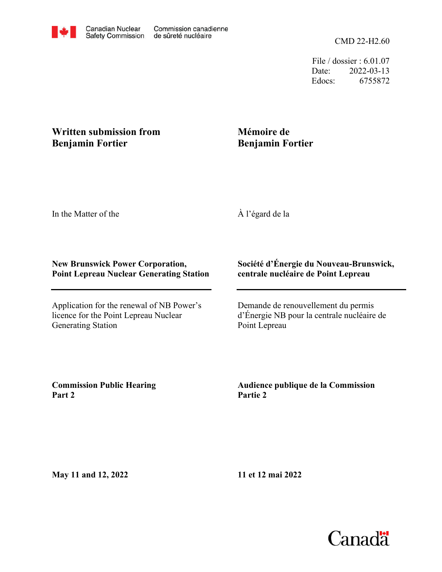CMD 22-H2.60

File / dossier : 6.01.07 Date: 2022-03-13 Edocs: 6755872

## **Written submission from Benjamin Fortier**

# **Mémoire de Benjamin Fortier**

In the Matter of the

À l'égard de la

### **New Brunswick Power Corporation, Point Lepreau Nuclear Generating Station**

Application for the renewal of NB Power's licence for the Point Lepreau Nuclear Generating Station

## **Société d'Énergie du Nouveau-Brunswick, centrale nucléaire de Point Lepreau**

Demande de renouvellement du permis d'Énergie NB pour la centrale nucléaire de Point Lepreau

**Commission Public Hearing Part 2**

**Audience publique de la Commission Partie 2**

**May 11 and 12, 2022**

**11 et 12 mai 2022**

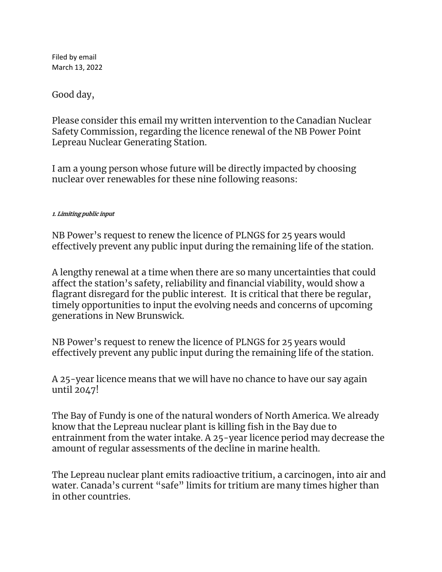Filed by email March 13, 2022

Good day,

Please consider this email my written intervention to the Canadian Nuclear Safety Commission, regarding the licence renewal of the NB Power Point Lepreau Nuclear Generating Station.

I am a young person whose future will be directly impacted by choosing nuclear over renewables for these nine following reasons:

### 1. Limiting public input

NB Power's request to renew the licence of PLNGS for 25 years would effectively prevent any public input during the remaining life of the station.

A lengthy renewal at a time when there are so many uncertainties that could affect the station's safety, reliability and financial viability, would show a flagrant disregard for the public interest. It is critical that there be regular, timely opportunities to input the evolving needs and concerns of upcoming generations in New Brunswick.

NB Power's request to renew the licence of PLNGS for 25 years would effectively prevent any public input during the remaining life of the station.

A 25-year licence means that we will have no chance to have our say again until 2047!

The Bay of Fundy is one of the natural wonders of North America. We already know that the Lepreau nuclear plant is killing fish in the Bay due to entrainment from the water intake. A 25-year licence period may decrease the amount of regular assessments of the decline in marine health.

The Lepreau nuclear plant emits radioactive tritium, a carcinogen, into air and water. Canada's current "safe" limits for tritium are many times higher than in other countries.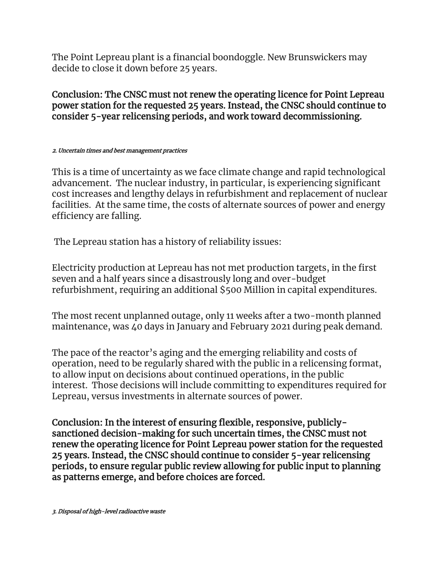The Point Lepreau plant is a financial boondoggle. New Brunswickers may decide to close it down before 25 years.

Conclusion: The CNSC must not renew the operating licence for Point Lepreau power station for the requested 25 years. Instead, the CNSC should continue to consider 5-year relicensing periods, and work toward decommissioning.

#### 2. Uncertain times and best management practices

This is a time of uncertainty as we face climate change and rapid technological advancement. The nuclear industry, in particular, is experiencing significant cost increases and lengthy delays in refurbishment and replacement of nuclear facilities. At the same time, the costs of alternate sources of power and energy efficiency are falling.

The Lepreau station has a history of reliability issues:

Electricity production at Lepreau has not met production targets, in the first seven and a half years since a disastrously long and over-budget refurbishment, requiring an additional \$500 Million in capital expenditures.

The most recent unplanned outage, only 11 weeks after a two-month planned maintenance, was 40 days in January and February 2021 during peak demand.

The pace of the reactor's aging and the emerging reliability and costs of operation, need to be regularly shared with the public in a relicensing format, to allow input on decisions about continued operations, in the public interest. Those decisions will include committing to expenditures required for Lepreau, versus investments in alternate sources of power.

Conclusion: In the interest of ensuring flexible, responsive, publiclysanctioned decision-making for such uncertain times, the CNSC must not renew the operating licence for Point Lepreau power station for the requested 25 years. Instead, the CNSC should continue to consider 5-year relicensing periods, to ensure regular public review allowing for public input to planning as patterns emerge, and before choices are forced.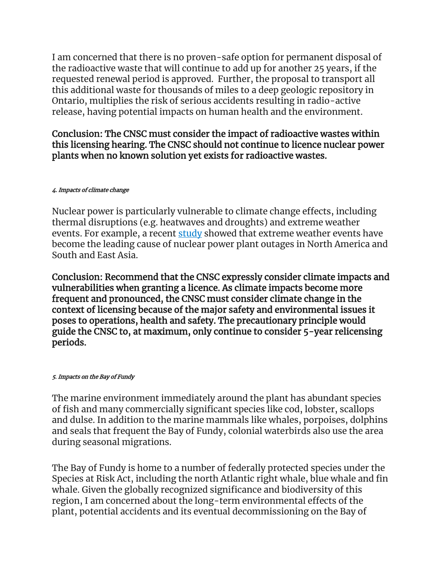I am concerned that there is no proven-safe option for permanent disposal of the radioactive waste that will continue to add up for another 25 years, if the requested renewal period is approved. Further, the proposal to transport all this additional waste for thousands of miles to a deep geologic repository in Ontario, multiplies the risk of serious accidents resulting in radio-active release, having potential impacts on human health and the environment.

Conclusion: The CNSC must consider the impact of radioactive wastes within this licensing hearing. The CNSC should not continue to licence nuclear power plants when no known solution yet exists for radioactive wastes.

### 4. Impacts of climate change

Nuclear power is particularly vulnerable to climate change effects, including thermal disruptions (e.g. heatwaves and droughts) and extreme weather events. For example, a recent [study](https://www.nature.com/articles/s41560-021-00849-y) showed that extreme weather events have become the leading cause of nuclear power plant outages in North America and South and East Asia.

Conclusion: Recommend that the CNSC expressly consider climate impacts and vulnerabilities when granting a licence. As climate impacts become more frequent and pronounced, the CNSC must consider climate change in the context of licensing because of the major safety and environmental issues it poses to operations, health and safety. The precautionary principle would guide the CNSC to, at maximum, only continue to consider 5-year relicensing periods.

### 5. Impacts on the Bay of Fundy

The marine environment immediately around the plant has abundant species of fish and many commercially significant species like cod, lobster, scallops and dulse. In addition to the marine mammals like whales, porpoises, dolphins and seals that frequent the Bay of Fundy, colonial waterbirds also use the area during seasonal migrations.

The Bay of Fundy is home to a number of federally protected species under the Species at Risk Act, including the north Atlantic right whale, blue whale and fin whale. Given the globally recognized significance and biodiversity of this region, I am concerned about the long-term environmental effects of the plant, potential accidents and its eventual decommissioning on the Bay of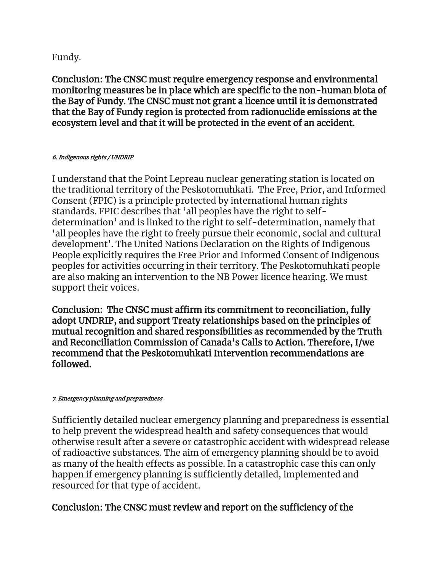## Fundy.

Conclusion: The CNSC must require emergency response and environmental monitoring measures be in place which are specific to the non-human biota of the Bay of Fundy. The CNSC must not grant a licence until it is demonstrated that the Bay of Fundy region is protected from radionuclide emissions at the ecosystem level and that it will be protected in the event of an accident.

### 6. Indigenous rights / UNDRIP

I understand that the Point Lepreau nuclear generating station is located on the traditional territory of the Peskotomuhkati. The Free, Prior, and Informed Consent (FPIC) is a principle protected by international human rights standards. FPIC describes that 'all peoples have the right to selfdetermination' and is linked to the right to self-determination, namely that 'all peoples have the right to freely pursue their economic, social and cultural development'. The United Nations Declaration on the Rights of Indigenous People explicitly requires the Free Prior and Informed Consent of Indigenous peoples for activities occurring in their territory. The Peskotomuhkati people are also making an intervention to the NB Power licence hearing. We must support their voices.

Conclusion: The CNSC must affirm its commitment to reconciliation, fully adopt UNDRIP, and support Treaty relationships based on the principles of mutual recognition and shared responsibilities as recommended by the Truth and Reconciliation Commission of Canada's Calls to Action. Therefore, I/we recommend that the Peskotomuhkati Intervention recommendations are followed.

### 7. Emergency planning and preparedness

Sufficiently detailed nuclear emergency planning and preparedness is essential to help prevent the widespread health and safety consequences that would otherwise result after a severe or catastrophic accident with widespread release of radioactive substances. The aim of emergency planning should be to avoid as many of the health effects as possible. In a catastrophic case this can only happen if emergency planning is sufficiently detailed, implemented and resourced for that type of accident.

# Conclusion: The CNSC must review and report on the sufficiency of the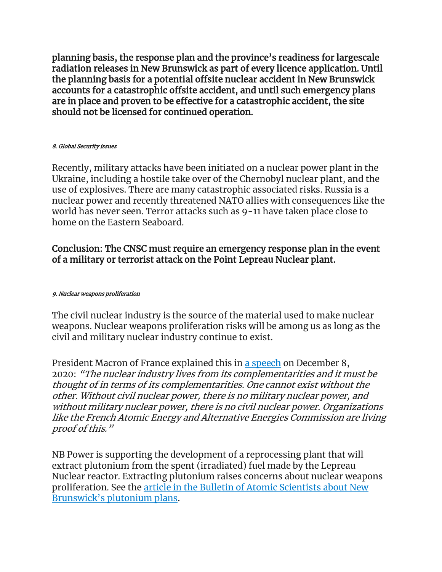planning basis, the response plan and the province's readiness for largescale radiation releases in New Brunswick as part of every licence application. Until the planning basis for a potential offsite nuclear accident in New Brunswick accounts for a catastrophic offsite accident, and until such emergency plans are in place and proven to be effective for a catastrophic accident, the site should not be licensed for continued operation.

#### 8. Global Security issues

Recently, military attacks have been initiated on a nuclear power plant in the Ukraine, including a hostile take over of the Chernobyl nuclear plant, and the use of explosives. There are many catastrophic associated risks. Russia is a nuclear power and recently threatened NATO allies with consequences like the world has never seen. Terror attacks such as 9-11 have taken place close to home on the Eastern Seaboard.

## Conclusion: The CNSC must require an emergency response plan in the event of a military or terrorist attack on the Point Lepreau Nuclear plant.

### 9. Nuclear weapons proliferation

The civil nuclear industry is the source of the material used to make nuclear weapons. Nuclear weapons proliferation risks will be among us as long as the civil and military nuclear industry continue to exist.

President Macron of France explained this in [a speech](https://www.elysee.fr/front/pdf/elysee-module-16825-fr.pdf) on December 8, 2020: "The nuclear industry lives from its complementarities and it must be thought of in terms of its complementarities. One cannot exist without the other. Without civil nuclear power, there is no military nuclear power, and without military nuclear power, there is no civil nuclear power. Organizations like the French Atomic Energy and Alternative Energies Commission are living proof of this."

NB Power is supporting the development of a reprocessing plant that will extract plutonium from the spent (irradiated) fuel made by the Lepreau Nuclear reactor. Extracting plutonium raises concerns about nuclear weapons proliferation. See the [article in the Bulletin of Atomic Scientists about New](https://thebulletin.org/2021/07/will-canada-remain-a-credible-nonproliferation-partner/)  [Brunswick's plutonium plans](https://thebulletin.org/2021/07/will-canada-remain-a-credible-nonproliferation-partner/).